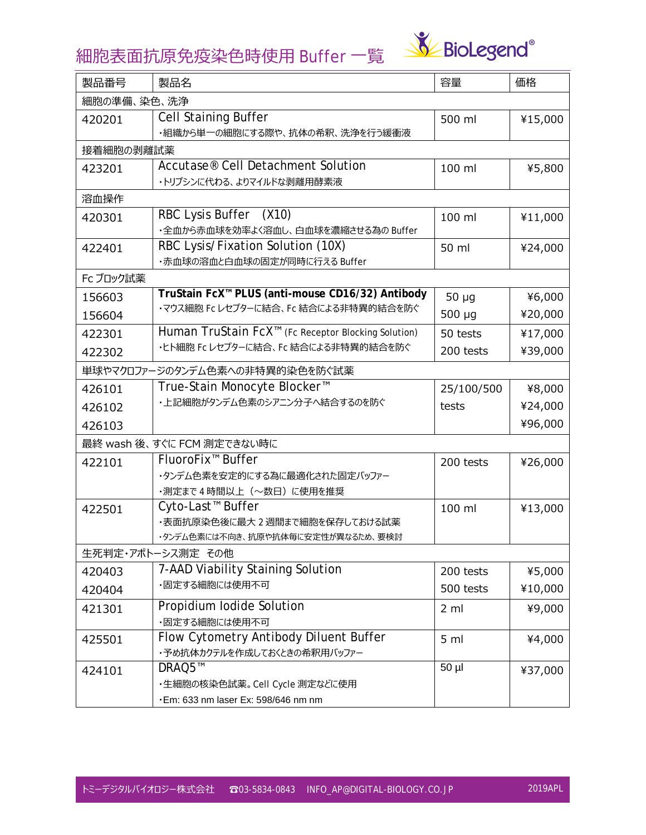## 細胞表面抗原免疫染色時使用 Buffer 一覧 NAV BioLegend®



| 製品番号        | 製品名                                                             | 容量         | 価格      |  |  |
|-------------|-----------------------------------------------------------------|------------|---------|--|--|
| 細胞の準備、染色、洗浄 |                                                                 |            |         |  |  |
| 420201      | <b>Cell Staining Buffer</b>                                     | 500 ml     | ¥15,000 |  |  |
|             | ・組織から単一の細胞にする際や、抗体の希釈、洗浄を行う緩衝液                                  |            |         |  |  |
| 接着細胞の剥離試薬   |                                                                 |            |         |  |  |
| 423201      | Accutase® Cell Detachment Solution                              | 100 ml     | ¥5,800  |  |  |
|             | ・トリプシンに代わる、よりマイルドな剥離用酵素液                                        |            |         |  |  |
| 溶血操作        |                                                                 |            |         |  |  |
| 420301      | RBC Lysis Buffer (X10)                                          | 100 ml     | ¥11,000 |  |  |
|             | ・全血から赤血球を効率よく溶血し、白血球を濃縮させる為の Buffer                             |            |         |  |  |
| 422401      | RBC Lysis/Fixation Solution (10X)                               | 50 ml      | ¥24,000 |  |  |
|             | ・赤血球の溶血と白血球の固定が同時に行える Buffer                                    |            |         |  |  |
| Fc ブロック試薬   | TruStain FcX <sup>™</sup> PLUS (anti-mouse CD16/32) Antibody    |            |         |  |  |
| 156603      | ・マウス細胞 Fc レセプターに結合、Fc 結合による非特異的結合を防ぐ                            | $50 \mu g$ | ¥6,000  |  |  |
| 156604      |                                                                 | 500 µg     | ¥20,000 |  |  |
| 422301      | Human TruStain FcX <sup>™</sup> (Fc Receptor Blocking Solution) | 50 tests   | ¥17,000 |  |  |
| 422302      | ・ヒト細胞 Fc レセプターに結合、Fc 結合による非特異的結合を防ぐ                             | 200 tests  | ¥39,000 |  |  |
|             | 単球やマクロファージのタンデム色素への非特異的染色を防ぐ試薬                                  |            |         |  |  |
| 426101      | True-Stain Monocyte Blocker <sup>™</sup>                        | 25/100/500 | ¥8,000  |  |  |
| 426102      | ・上記細胞がタンデム色素のシアニン分子へ結合するのを防ぐ                                    | tests      | ¥24,000 |  |  |
| 426103      |                                                                 |            | ¥96,000 |  |  |
|             | 最終 wash 後、すぐに FCM 測定できない時に                                      |            |         |  |  |
| 422101      | FluoroFix <sup>™</sup> Buffer                                   | 200 tests  | ¥26,000 |  |  |
|             | ・タンデム色素を安定的にする為に最適化された固定バッファー                                   |            |         |  |  |
|             | ・測定まで4時間以上(~数日)に使用を推奨                                           |            |         |  |  |
| 422501      | Cyto-Last <sup>™</sup> Buffer                                   | 100 ml     | ¥13,000 |  |  |
|             | ・表面抗原染色後に最大2週間まで細胞を保存しておける試薬                                    |            |         |  |  |
|             | ・タンデム色素には不向き、抗原や抗体毎に安定性が異なるため、要検討                               |            |         |  |  |
|             | 生死判定・アポトーシス測定 その他                                               |            |         |  |  |
| 420403      | 7-AAD Viability Staining Solution                               | 200 tests  | ¥5,000  |  |  |
| 420404      | ・固定する細胞には使用不可                                                   | 500 tests  | ¥10,000 |  |  |
| 421301      | Propidium Iodide Solution                                       | $2 \,$ ml  | ¥9,000  |  |  |
|             | ・固定する細胞には使用不可                                                   |            |         |  |  |
| 425501      | Flow Cytometry Antibody Diluent Buffer                          | 5 ml       | ¥4,000  |  |  |
|             | ・予め抗体カクテルを作成しておくときの希釈用バッファー                                     |            |         |  |  |
| 424101      | DRAQ5™                                                          | 50 µl      | ¥37,000 |  |  |
|             | ・生細胞の核染色試薬。Cell Cycle 測定などに使用                                   |            |         |  |  |
|             | · Em: 633 nm laser Ex: 598/646 nm nm                            |            |         |  |  |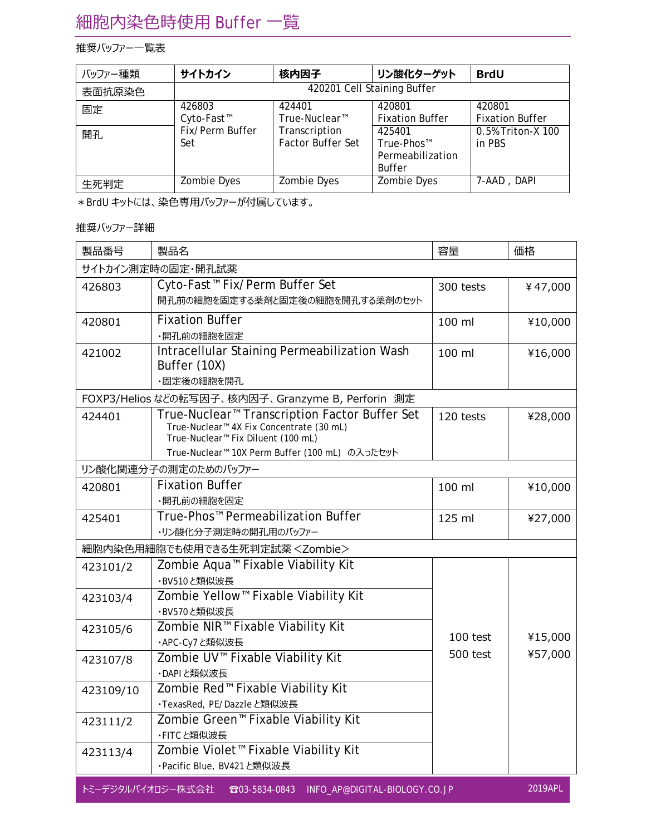## 細胞内染色時使用 Buffer 一覧

## 推奨バッファー一覧表

| バッファー種類 | サイトカイン                      | 核内因子                      | リン酸化ターゲット              | <b>BrdU</b>            |
|---------|-----------------------------|---------------------------|------------------------|------------------------|
| 表面抗原染色  | 420201 Cell Staining Buffer |                           |                        |                        |
| 固定      | 426803                      | 424401                    | 420801                 | 420801                 |
|         | Cyto-Fast <sup>™</sup>      | True-Nuclear <sup>™</sup> | <b>Fixation Buffer</b> | <b>Fixation Buffer</b> |
| 開孔      | Fix/Perm Buffer             | Transcription             | 425401                 | 0.5% Triton-X 100      |
|         | Set                         | <b>Factor Buffer Set</b>  | True-Phos™             | in PBS                 |
|         |                             |                           | Permeabilization       |                        |
|         |                             |                           | <b>Buffer</b>          |                        |
| 生死判定    | Zombie Dyes                 | Zombie Dyes               | Zombie Dyes            | 7-AAD, DAPI            |

\*BrdU キットには、染色専用バッファーが付属しています。

## 推奨バッファー詳細

| 製品番号              | 製品名                                                                                                               | 容量              | 価格      |  |
|-------------------|-------------------------------------------------------------------------------------------------------------------|-----------------|---------|--|
| サイトカイン測定時の固定・開孔試薬 |                                                                                                                   |                 |         |  |
| 426803            | Cyto-Fast <sup>™</sup> Fix/Perm Buffer Set                                                                        | 300 tests       | ¥47,000 |  |
|                   | 開孔前の細胞を固定する薬剤と固定後の細胞を開孔する薬剤のセット                                                                                   |                 |         |  |
| 420801            | <b>Fixation Buffer</b>                                                                                            | 100 ml          | ¥10,000 |  |
|                   | ・開孔前の細胞を固定                                                                                                        |                 |         |  |
| 421002            | Intracellular Staining Permeabilization Wash                                                                      | 100 ml          | ¥16,000 |  |
|                   | Buffer (10X)                                                                                                      |                 |         |  |
|                   | ・固定後の細胞を開孔                                                                                                        |                 |         |  |
|                   | FOXP3/Helios などの転写因子、核内因子、Granzyme B, Perforin 測定                                                                 |                 |         |  |
| 424401            | True-Nuclear <sup>™</sup> Transcription Factor Buffer Set<br>True-Nuclear <sup>™</sup> 4X Fix Concentrate (30 mL) | 120 tests       | ¥28,000 |  |
|                   | True-Nuclear <sup>™</sup> Fix Diluent (100 mL)                                                                    |                 |         |  |
|                   | True-Nuclear™ 10X Perm Buffer (100 mL) の入ったセット                                                                    |                 |         |  |
|                   | リン酸化関連分子の測定のためのバッファー                                                                                              |                 |         |  |
| 420801            | <b>Fixation Buffer</b>                                                                                            | 100 ml          | ¥10,000 |  |
|                   | ・開孔前の細胞を固定                                                                                                        |                 |         |  |
| 425401            | True-Phos <sup>™</sup> Permeabilization Buffer                                                                    | 125 ml          | ¥27,000 |  |
|                   | ・リン酸化分子測定時の開孔用のバッファー                                                                                              |                 |         |  |
|                   | 細胞内染色用細胞でも使用できる生死判定試薬 くZombie>                                                                                    |                 |         |  |
| 423101/2          | Zombie Aqua <sup>™</sup> Fixable Viability Kit                                                                    |                 |         |  |
|                   | ·BV510と類似波長                                                                                                       |                 |         |  |
| 423103/4          | Zombie Yellow <sup>™</sup> Fixable Viability Kit                                                                  |                 |         |  |
|                   | ·BV570と類似波長                                                                                                       |                 |         |  |
| 423105/6          | Zombie NIR <sup>™</sup> Fixable Viability Kit                                                                     | $100$ test      | ¥15,000 |  |
|                   | ·APC-Cy7と類似波長                                                                                                     | <b>500 test</b> | ¥57,000 |  |
| 423107/8          | Zombie UV <sup>™</sup> Fixable Viability Kit                                                                      |                 |         |  |
|                   | ·DAPIと類似波長                                                                                                        |                 |         |  |
| 423109/10         | Zombie Red <sup>™</sup> Fixable Viability Kit                                                                     |                 |         |  |
|                   | ·TexasRed, PE/Dazzleと類似波長<br>Zombie Green <sup>™</sup> Fixable Viability Kit                                      |                 |         |  |
| 423111/2          | ・FITCと類似波長                                                                                                        |                 |         |  |
|                   | Zombie Violet <sup>™</sup> Fixable Viability Kit                                                                  |                 |         |  |
| 423113/4          | ·Pacific Blue, BV421 と類似波長                                                                                        |                 |         |  |
|                   |                                                                                                                   |                 |         |  |